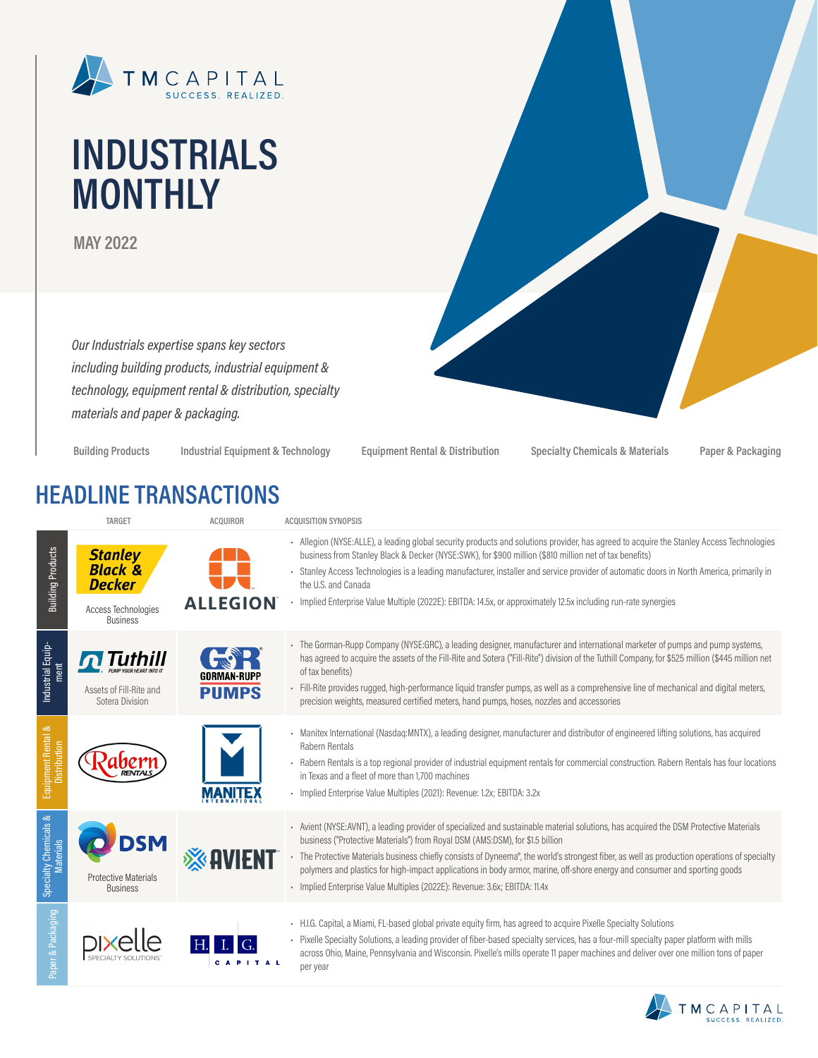

# **INDUSTRIALS MONTHLY**

**MAY 2022**

*Our Industrials expertise spans key sectors including building products, industrial equipment & technology, equipment rental & distribution, specialty materials and paper & packaging.*

**Building Products Industrial Equipment & Technology Equipment Rental & Distribution Specialty Chemicals & Materials Paper & Packaging**

### **HEADLINE TRANSACTIONS**

|                                           | <b>TARGET</b>                                                                                   | <b>ACQUIROR</b> | <b>ACQUISITION SYNOPSIS</b>                                                                                                                                                                                                                                                                                                                                                                                                                                                                                                                                                        |
|-------------------------------------------|-------------------------------------------------------------------------------------------------|-----------------|------------------------------------------------------------------------------------------------------------------------------------------------------------------------------------------------------------------------------------------------------------------------------------------------------------------------------------------------------------------------------------------------------------------------------------------------------------------------------------------------------------------------------------------------------------------------------------|
| <b>Building Products</b>                  | <b>Stanley</b><br><b>Black &amp;</b><br><b>Decker</b><br>Access Technologies<br><b>Business</b> | <b>ALLEGION</b> | - Allegion (NYSE:ALLE), a leading global security products and solutions provider, has agreed to acquire the Stanley Access Technologies<br>business from Stanley Black & Decker (NYSE:SWK), for \$900 million (\$810 million net of tax benefits)<br>Stanley Access Technologies is a leading manufacturer, installer and service provider of automatic doors in North America, primarily in<br>the U.S. and Canada<br>- Implied Enterprise Value Multiple (2022E): EBITDA: 14.5x, or approximately 12.5x including run-rate synergies                                            |
| Industrial Equip-<br>ment                 | Assets of Fill-Rite and<br>Sotera Division                                                      | <b>PUMPS</b>    | - The Gorman-Rupp Company (NYSE:GRC), a leading designer, manufacturer and international marketer of pumps and pump systems,<br>has agreed to acquire the assets of the Fill-Rite and Sotera ("Fill-Rite") division of the Tuthill Company, for \$525 million (\$445 million net<br>of tax benefits)<br>- Fill-Rite provides rugged, high-performance liquid transfer pumps, as well as a comprehensive line of mechanical and digital meters,<br>precision weights, measured certified meters, hand pumps, hoses, nozzles and accessories                                         |
| Equipment Rental &<br>Distribution        |                                                                                                 |                 | - Manitex International (Nasdaq:MNTX), a leading designer, manufacturer and distributor of engineered lifting solutions, has acquired<br>Rabern Rentals<br>- Rabern Rentals is a top regional provider of industrial equipment rentals for commercial construction. Rabern Rentals has four locations<br>in Texas and a fleet of more than 1.700 machines<br>- Implied Enterprise Value Multiples (2021): Revenue: 1.2x; EBITDA: 3.2x                                                                                                                                              |
| Specialty Chemicals &<br><b>Materials</b> | <b>Protective Materials</b><br><b>Business</b>                                                  |                 | - Avient (NYSE:AVNT), a leading provider of specialized and sustainable material solutions, has acquired the DSM Protective Materials<br>business ("Protective Materials") from Royal DSM (AMS:DSM), for \$1.5 billion<br>- The Protective Materials business chiefly consists of Dyneema®, the world's strongest fiber, as well as production operations of specialty<br>polymers and plastics for high-impact applications in body armor, marine, off-shore energy and consumer and sporting goods<br>- Implied Enterprise Value Multiples (2022E): Revenue: 3.6x; EBITDA: 11.4x |
| aper & Packaging                          |                                                                                                 |                 | - H.I.G. Capital, a Miami, FL-based global private equity firm, has agreed to acquire Pixelle Specialty Solutions<br>- Pixelle Specialty Solutions, a leading provider of fiber-based specialty services, has a four-mill specialty paper platform with mills<br>across Ohio, Maine, Pennsylvania and Wisconsin. Pixelle's mills operate 11 paper machines and deliver over one million tons of paper<br>per year                                                                                                                                                                  |

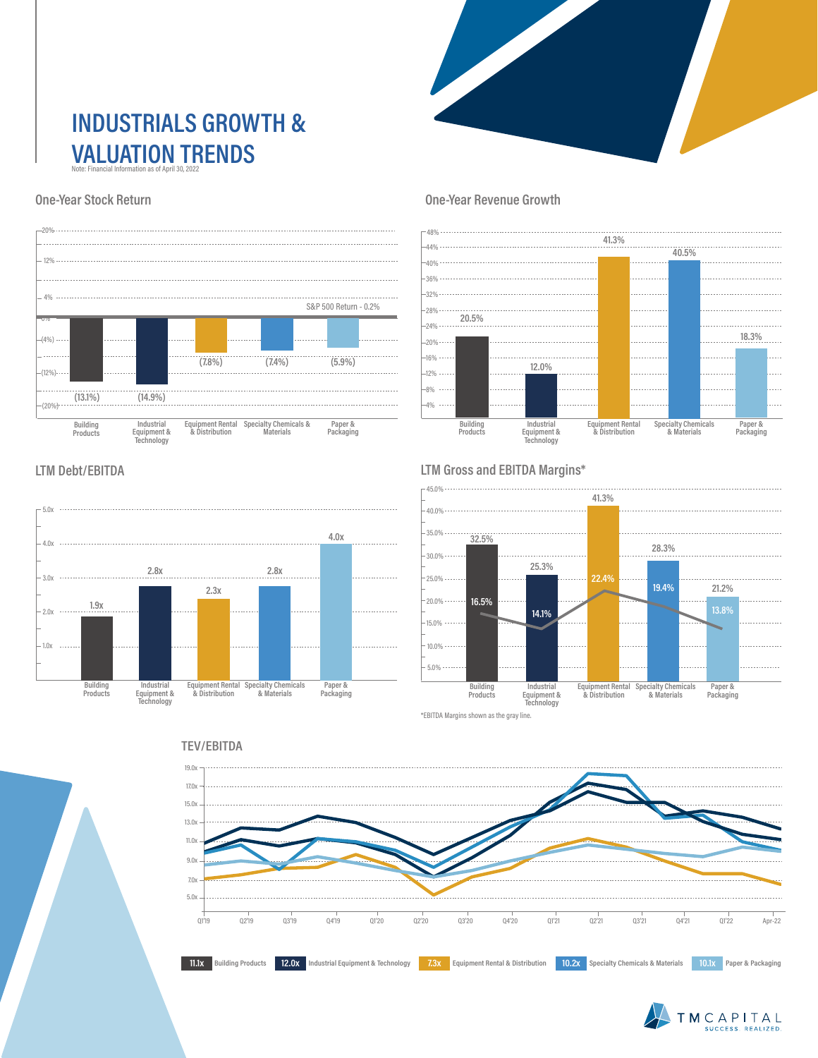### **INDUSTRIALS GROWTH & VALUATION TRENDS** Note: Financial Information as of April 30, 2022

#### **One-Year Stock Return**



#### **One-Year Revenue Growth**



#### **LTM Debt/EBITDA**



#### **LTM Gross and EBITDA Margins\***



\*EBITDA Margins shown as the gray line.





#### TEV/EBITDA